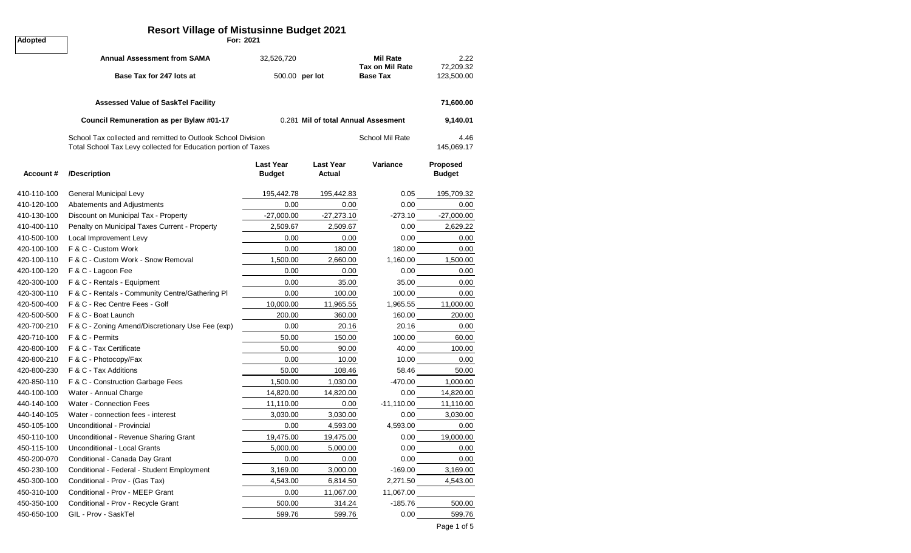## **Resort Village of Mistusinne Budget 2021**

**Adopted For: 2021**

|             | <b>Annual Assessment from SAMA</b>                                                                                             | 32,526,720                        |                                     | <b>Mil Rate</b><br><b>Tax on Mil Rate</b> | 2.22<br>72,209.32         |
|-------------|--------------------------------------------------------------------------------------------------------------------------------|-----------------------------------|-------------------------------------|-------------------------------------------|---------------------------|
|             | Base Tax for 247 lots at                                                                                                       | 500.00 per lot                    |                                     | <b>Base Tax</b>                           | 123,500.00                |
|             | <b>Assessed Value of SaskTel Facility</b>                                                                                      |                                   |                                     |                                           | 71,600.00                 |
|             | Council Remuneration as per Bylaw #01-17                                                                                       |                                   | 0.281 Mil of total Annual Assesment |                                           | 9,140.01                  |
|             | School Tax collected and remitted to Outlook School Division<br>Total School Tax Levy collected for Education portion of Taxes |                                   |                                     | 4.46<br>145,069.17                        |                           |
| Account#    | /Description                                                                                                                   | <b>Last Year</b><br><b>Budget</b> | <b>Last Year</b><br>Actual          | Variance                                  | Proposed<br><b>Budget</b> |
| 410-110-100 | General Municipal Levy                                                                                                         | 195,442.78                        | 195,442.83                          | 0.05                                      | 195,709.32                |
| 410-120-100 | Abatements and Adjustments                                                                                                     | 0.00                              | 0.00                                | 0.00                                      | 0.00                      |
| 410-130-100 | Discount on Municipal Tax - Property                                                                                           | $-27,000.00$                      | $-27,273.10$                        | $-273.10$                                 | $-27,000.00$              |
| 410-400-110 | Penalty on Municipal Taxes Current - Property                                                                                  | 2,509.67                          | 2,509.67                            | 0.00                                      | 2,629.22                  |
| 410-500-100 | Local Improvement Levy                                                                                                         | 0.00                              | 0.00                                | 0.00                                      | 0.00                      |
| 420-100-100 | F & C - Custom Work                                                                                                            | 0.00                              | 180.00                              | 180.00                                    | 0.00                      |
| 420-100-110 | F & C - Custom Work - Snow Removal                                                                                             | 1,500.00                          | 2,660.00                            | 1,160.00                                  | 1,500.00                  |
| 420-100-120 | F & C - Lagoon Fee                                                                                                             | 0.00                              | 0.00                                | 0.00                                      | 0.00                      |
| 420-300-100 | F & C - Rentals - Equipment                                                                                                    | 0.00                              | 35.00                               | 35.00                                     | 0.00                      |
| 420-300-110 | F & C - Rentals - Community Centre/Gathering PI                                                                                | 0.00                              | 100.00                              | 100.00                                    | 0.00                      |
| 420-500-400 | F & C - Rec Centre Fees - Golf                                                                                                 | 10,000.00                         | 11,965.55                           | 1,965.55                                  | 11,000.00                 |
| 420-500-500 | F & C - Boat Launch                                                                                                            | 200.00                            | 360.00                              | 160.00                                    | 200.00                    |
| 420-700-210 | F & C - Zoning Amend/Discretionary Use Fee (exp)                                                                               | 0.00                              | 20.16                               | 20.16                                     | 0.00                      |
| 420-710-100 | F & C - Permits                                                                                                                | 50.00                             | 150.00                              | 100.00                                    | 60.00                     |
| 420-800-100 | F & C - Tax Certificate                                                                                                        | 50.00                             | 90.00                               | 40.00                                     | 100.00                    |
| 420-800-210 | F & C - Photocopy/Fax                                                                                                          | 0.00                              | 10.00                               | 10.00                                     | 0.00                      |
| 420-800-230 | F & C - Tax Additions                                                                                                          | 50.00                             | 108.46                              | 58.46                                     | 50.00                     |
| 420-850-110 | F & C - Construction Garbage Fees                                                                                              | 1,500.00                          | 1,030.00                            | -470.00                                   | 1,000.00                  |
| 440-100-100 | Water - Annual Charge                                                                                                          | 14,820.00                         | 14,820.00                           | 0.00                                      | 14,820.00                 |
| 440-140-100 | <b>Water - Connection Fees</b>                                                                                                 | 11,110.00                         | 0.00                                | $-11,110.00$                              | 11,110.00                 |
| 440-140-105 | Water - connection fees - interest                                                                                             | 3,030.00                          | 3,030.00                            | 0.00                                      | 3,030.00                  |
| 450-105-100 | Unconditional - Provincial                                                                                                     | 0.00                              | 4,593.00                            | 4,593.00                                  | 0.00                      |
| 450-110-100 | Unconditional - Revenue Sharing Grant                                                                                          | 19,475.00                         | 19,475.00                           | 0.00                                      | 19,000.00                 |
| 450-115-100 | Unconditional - Local Grants                                                                                                   | 5,000.00                          | 5,000.00                            | 0.00                                      | 0.00                      |
| 450-200-070 | Conditional - Canada Day Grant                                                                                                 | 0.00                              | 0.00                                | 0.00                                      | 0.00                      |
| 450-230-100 | Conditional - Federal - Student Employment                                                                                     | 3,169.00                          | 3,000.00                            | $-169.00$                                 | 3,169.00                  |
| 450-300-100 | Conditional - Prov - (Gas Tax)                                                                                                 | 4,543.00                          | 6,814.50                            | 2,271.50                                  | 4,543.00                  |
| 450-310-100 | Conditional - Prov - MEEP Grant                                                                                                | 0.00                              | 11,067.00                           | 11,067.00                                 |                           |
| 450-350-100 | Conditional - Prov - Recycle Grant                                                                                             | 500.00                            | 314.24                              | -185.76                                   | 500.00                    |
| 450-650-100 | GIL - Prov - SaskTel                                                                                                           | 599.76                            | 599.76                              | 0.00                                      | 599.76                    |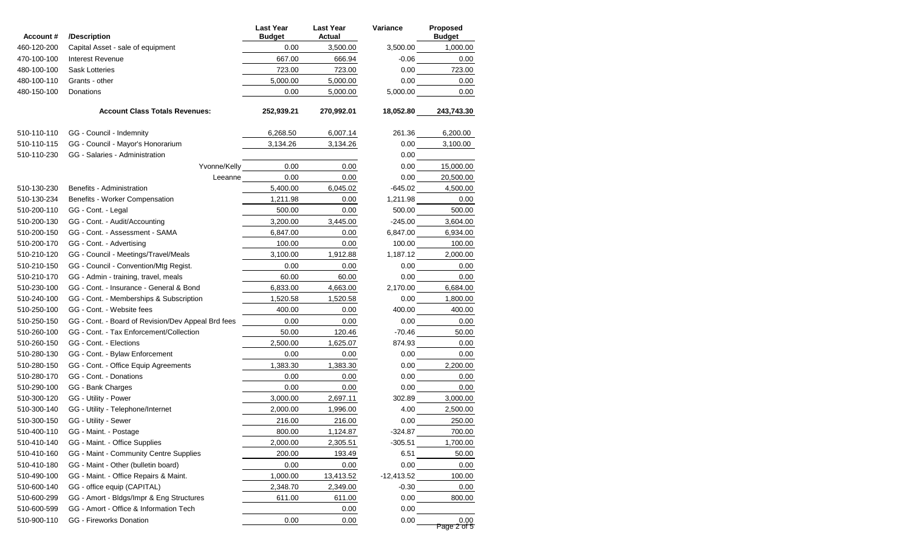| Account#    | /Description                                       | <b>Last Year</b><br><b>Budget</b> | <b>Last Year</b><br>Actual | Variance     | Proposed<br><b>Budget</b> |
|-------------|----------------------------------------------------|-----------------------------------|----------------------------|--------------|---------------------------|
| 460-120-200 | Capital Asset - sale of equipment                  | 0.00                              | 3,500.00                   | 3,500.00     | 1,000.00                  |
| 470-100-100 | Interest Revenue                                   | 667.00                            | 666.94                     | $-0.06$      | 0.00                      |
| 480-100-100 | <b>Sask Lotteries</b>                              | 723.00                            | 723.00                     | 0.00         | 723.00                    |
| 480-100-110 | Grants - other                                     | 5.000.00                          | 5,000.00                   | 0.00         | 0.00                      |
| 480-150-100 | Donations                                          | 0.00                              | 5,000.00                   | 5,000.00     | 0.00                      |
|             | <b>Account Class Totals Revenues:</b>              | 252,939.21                        | 270,992.01                 | 18,052.80    | 243,743.30                |
| 510-110-110 | GG - Council - Indemnity                           | 6,268.50                          | 6,007.14                   | 261.36       | 6,200.00                  |
| 510-110-115 | GG - Council - Mayor's Honorarium                  | 3,134.26                          | 3,134.26                   | 0.00         | 3,100.00                  |
| 510-110-230 | GG - Salaries - Administration                     |                                   |                            | 0.00         |                           |
|             | Yvonne/Kelly                                       | 0.00                              | 0.00                       | 0.00         | 15,000.00                 |
|             | Leeanne                                            | 0.00                              | 0.00                       | 0.00         | 20,500.00                 |
| 510-130-230 | Benefits - Administration                          | 5,400.00                          | 6,045.02                   | -645.02      | 4,500.00                  |
| 510-130-234 | Benefits - Worker Compensation                     | 1,211.98                          | 0.00                       | 1,211.98     | 0.00                      |
| 510-200-110 | GG - Cont. - Legal                                 | 500.00                            | 0.00                       | 500.00       | 500.00                    |
| 510-200-130 | GG - Cont. - Audit/Accounting                      | 3,200.00                          | 3,445.00                   | -245.00      | 3,604.00                  |
| 510-200-150 | GG - Cont. - Assessment - SAMA                     | 6,847.00                          | 0.00                       | 6,847.00     | 6,934.00                  |
| 510-200-170 | GG - Cont. - Advertising                           | 100.00                            | 0.00                       | 100.00       | 100.00                    |
| 510-210-120 | GG - Council - Meetings/Travel/Meals               | 3,100.00                          | 1,912.88                   | 1,187.12     | 2,000.00                  |
| 510-210-150 | GG - Council - Convention/Mtg Regist.              | 0.00                              | 0.00                       | 0.00         | 0.00                      |
| 510-210-170 | GG - Admin - training, travel, meals               | 60.00                             | 60.00                      | 0.00         | 0.00                      |
| 510-230-100 | GG - Cont. - Insurance - General & Bond            | 6,833.00                          | 4,663.00                   | 2,170.00     | 6,684.00                  |
| 510-240-100 | GG - Cont. - Memberships & Subscription            | 1,520.58                          | 1,520.58                   | 0.00         | 1,800.00                  |
| 510-250-100 | GG - Cont. - Website fees                          | 400.00                            | 0.00                       | 400.00       | 400.00                    |
| 510-250-150 | GG - Cont. - Board of Revision/Dev Appeal Brd fees | 0.00                              | 0.00                       | 0.00         | 0.00                      |
| 510-260-100 | GG - Cont. - Tax Enforcement/Collection            | 50.00                             | 120.46                     | $-70.46$     | 50.00                     |
| 510-260-150 | GG - Cont. - Elections                             | 2,500.00                          | 1,625.07                   | 874.93       | 0.00                      |
| 510-280-130 | GG - Cont. - Bylaw Enforcement                     | 0.00                              | 0.00                       | 0.00         | 0.00                      |
| 510-280-150 | GG - Cont. - Office Equip Agreements               | 1,383.30                          | 1,383.30                   | 0.00         | 2,200.00                  |
| 510-280-170 | GG - Cont. - Donations                             | 0.00                              | 0.00                       | 0.00         | 0.00                      |
| 510-290-100 | GG - Bank Charges                                  | 0.00                              | 0.00                       | 0.00         | 0.00                      |
| 510-300-120 | GG - Utility - Power                               | 3,000.00                          | 2,697.11                   | 302.89       | 3,000.00                  |
| 510-300-140 | GG - Utility - Telephone/Internet                  | 2,000.00                          | 1,996.00                   | 4.00         | 2,500.00                  |
| 510-300-150 | GG - Utility - Sewer                               | 216.00                            | 216.00                     | 0.00         | 250.00                    |
| 510-400-110 | GG - Maint. - Postage                              | 800.00                            | 1,124.87                   | $-324.87$    | 700.00                    |
| 510-410-140 | GG - Maint. - Office Supplies                      | 2,000.00                          | 2,305.51                   | $-305.51$    | 1,700.00                  |
| 510-410-160 | GG - Maint - Community Centre Supplies             | 200.00                            | 193.49                     | 6.51         | 50.00                     |
| 510-410-180 | GG - Maint - Other (bulletin board)                | 0.00                              | 0.00                       | 0.00         | 0.00                      |
| 510-490-100 | GG - Maint. - Office Repairs & Maint.              | 1,000.00                          | 13,413.52                  | $-12,413.52$ | 100.00                    |
| 510-600-140 | GG - office equip (CAPITAL)                        | 2,348.70                          | 2,349.00                   | $-0.30$      | 0.00                      |
| 510-600-299 | GG - Amort - Bldgs/Impr & Eng Structures           | 611.00                            | 611.00                     | 0.00         | 800.00                    |
| 510-600-599 | GG - Amort - Office & Information Tech             |                                   | 0.00                       | 0.00         |                           |
| 510-900-110 | <b>GG</b> - Fireworks Donation                     | 0.00                              | 0.00                       | 0.00         | 0.00<br>Page 2 of 5       |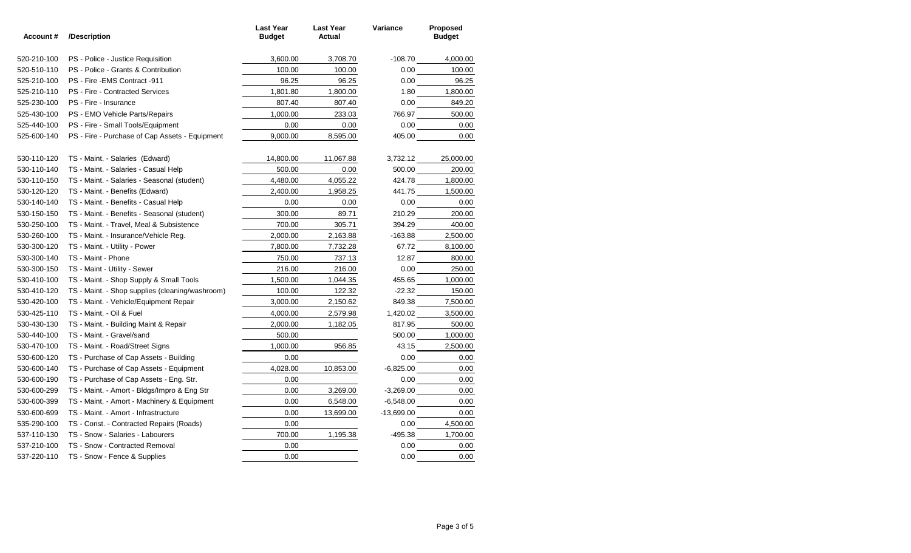| Account#    | /Description                                    | <b>Last Year</b><br><b>Budget</b> | <b>Last Year</b><br>Actual | Variance    | Proposed<br><b>Budget</b> |
|-------------|-------------------------------------------------|-----------------------------------|----------------------------|-------------|---------------------------|
| 520-210-100 | PS - Police - Justice Requisition               | 3,600.00                          | 3,708.70                   | -108.70     | 4,000.00                  |
| 520-510-110 | PS - Police - Grants & Contribution             | 100.00                            | 100.00                     | 0.00        | 100.00                    |
| 525-210-100 | PS - Fire - EMS Contract - 911                  | 96.25                             | 96.25                      |             | 0.00<br>96.25             |
| 525-210-110 | <b>PS</b> - Fire - Contracted Services          | 1,801.80                          | 1,800.00                   |             | 1.80 1,800.00             |
| 525-230-100 | PS - Fire - Insurance                           | 807.40                            | 807.40                     |             | 0.00<br>849.20            |
| 525-430-100 | PS - EMO Vehicle Parts/Repairs                  | 1,000.00                          | 233.03                     | 766.97      | 500.00                    |
| 525-440-100 | PS - Fire - Small Tools/Equipment               | 0.00                              | 0.00                       |             | 0.00                      |
| 525-600-140 | PS - Fire - Purchase of Cap Assets - Equipment  | 9,000.00                          | 8,595.00                   |             | 405.00<br>0.00            |
| 530-110-120 | TS - Maint. - Salaries (Edward)                 | 14,800.00                         | 11,067.88                  | 3,732.12    | 25,000.00                 |
| 530-110-140 | TS - Maint. - Salaries - Casual Help            | 500.00                            | 0.00                       |             | 500.00 200.00             |
| 530-110-150 | TS - Maint. - Salaries - Seasonal (student)     | 4,480.00                          | 4,055.22                   |             |                           |
| 530-120-120 | TS - Maint. - Benefits (Edward)                 | 2,400.00                          | 1,958.25                   | 441.75      | 1,500.00                  |
| 530-140-140 | TS - Maint. - Benefits - Casual Help            | 0.00                              | 0.00                       |             | 0.00                      |
| 530-150-150 | TS - Maint. - Benefits - Seasonal (student)     | 300.00                            | 89.71                      |             | 200.00                    |
| 530-250-100 | TS - Maint. - Travel, Meal & Subsistence        | 700.00                            | 305.71                     | $394.29$    | 400.00                    |
| 530-260-100 | TS - Maint. - Insurance/Vehicle Reg.            | 2,000.00                          | 2,163.88                   |             | 2,500.00                  |
| 530-300-120 | TS - Maint. - Utility - Power                   | 7,800.00                          | 7,732.28                   |             | 8,100.00                  |
| 530-300-140 | TS - Maint - Phone                              | 750.00                            | 737.13                     |             | 800.00                    |
| 530-300-150 | TS - Maint - Utility - Sewer                    | 216.00                            | 216.00                     |             | 0.00<br>250.00            |
| 530-410-100 | TS - Maint. - Shop Supply & Small Tools         | 1,500.00                          | 1,044.35                   | 455.65      | 1,000.00                  |
| 530-410-120 | TS - Maint. - Shop supplies (cleaning/washroom) | 100.00                            | 122.32                     | $-22.32$    | 150.00                    |
| 530-420-100 | TS - Maint. - Vehicle/Equipment Repair          | 3,000.00                          | 2,150.62                   | 849.38      | 7,500.00                  |
| 530-425-110 | TS - Maint. - Oil & Fuel                        | 4,000.00                          | 2,579.98                   | 1,420.02    | 3,500.00                  |
| 530-430-130 | TS - Maint. - Building Maint & Repair           | 2,000.00                          | 1,182.05                   | 817.95      | 500.00                    |
| 530-440-100 | TS - Maint. - Gravel/sand                       | 500.00                            |                            | 500.00      | 1,000.00                  |
| 530-470-100 | TS - Maint. - Road/Street Signs                 | 1,000.00                          | 956.85                     | 43.15       | 2,500.00                  |
| 530-600-120 | TS - Purchase of Cap Assets - Building          | 0.00                              |                            |             | 0.00                      |
| 530-600-140 | TS - Purchase of Cap Assets - Equipment         | 4,028.00                          | 10,853.00                  | $-6,825.00$ | 0.00                      |
| 530-600-190 | TS - Purchase of Cap Assets - Eng. Str.         | 0.00                              |                            |             | 0.00<br>0.00              |
| 530-600-299 | TS - Maint. - Amort - Bldgs/Impro & Eng Str     | 0.00                              | 3,269.00                   |             | 0.00                      |
| 530-600-399 | TS - Maint. - Amort - Machinery & Equipment     | 0.00                              | 6,548.00                   |             | 0.00                      |
| 530-600-699 | TS - Maint. - Amort - Infrastructure            | 0.00                              | 13,699.00                  |             | 0.00                      |
| 535-290-100 | TS - Const. - Contracted Repairs (Roads)        | 0.00                              |                            | 0.00        | 4,500.00                  |
| 537-110-130 | TS - Snow - Salaries - Labourers                | 700.00                            | 1,195.38                   |             | -495.38  1,700.00         |
| 537-210-100 | TS - Snow - Contracted Removal                  | 0.00                              |                            |             | 0.00<br>0.00              |
| 537-220-110 | TS - Snow - Fence & Supplies                    | 0.00                              |                            | 0.00        | 0.00                      |
|             |                                                 |                                   |                            |             |                           |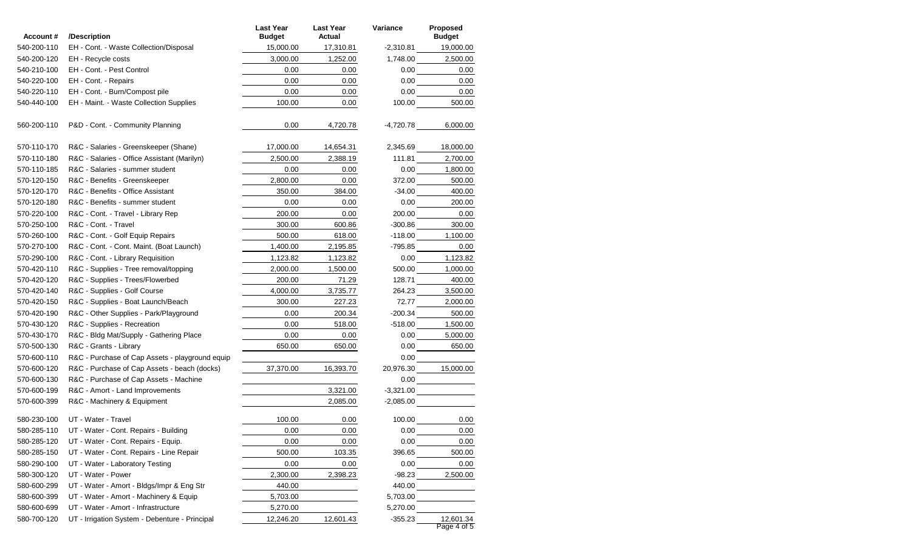| Account#    | /Description                                    | <b>Last Year</b><br><b>Budget</b> | <b>Last Year</b><br>Actual | <b>Variance</b> | Proposed<br><b>Budget</b>                                                                                                            |
|-------------|-------------------------------------------------|-----------------------------------|----------------------------|-----------------|--------------------------------------------------------------------------------------------------------------------------------------|
| 540-200-110 | EH - Cont. - Waste Collection/Disposal          | 15,000.00                         | 17,310.81                  |                 | $-2,310.81$ 19,000.00                                                                                                                |
| 540-200-120 | EH - Recycle costs                              | 3,000.00                          | 1,252.00                   |                 | 1,748.00 2,500.00                                                                                                                    |
| 540-210-100 | EH - Cont. - Pest Control                       | 0.00                              | 0.00                       |                 | 0.00<br>0.00                                                                                                                         |
| 540-220-100 | EH - Cont. - Repairs                            | 0.00                              | 0.00                       |                 | 0.00<br>0.00                                                                                                                         |
| 540-220-110 | EH - Cont. - Burn/Compost pile                  | 0.00                              | 0.00                       |                 | 0.00<br>0.00                                                                                                                         |
| 540-440-100 | EH - Maint. - Waste Collection Supplies         | 100.00                            | 0.00                       | 100.00          | 500.00                                                                                                                               |
| 560-200-110 | P&D - Cont. - Community Planning                | 0.00                              | 4,720.78                   | -4,720.78       | 6,000.00                                                                                                                             |
| 570-110-170 | R&C - Salaries - Greenskeeper (Shane)           | 17,000.00                         | 14,654.31                  | 2,345.69        | 18,000.00                                                                                                                            |
| 570-110-180 | R&C - Salaries - Office Assistant (Marilyn)     | 2,500.00                          | 2,388.19                   |                 | 2,700.00                                                                                                                             |
| 570-110-185 | R&C - Salaries - summer student                 | 0.00                              | 0.00                       | 0.00            | 1,800.00                                                                                                                             |
| 570-120-150 | R&C - Benefits - Greenskeeper                   | 2,800.00                          | 0.00                       | 372.00          | 500.00                                                                                                                               |
| 570-120-170 | R&C - Benefits - Office Assistant               | 350.00                            | 384.00                     | $-34.00$        | 400.00                                                                                                                               |
| 570-120-180 | R&C - Benefits - summer student                 | 0.00                              | 0.00                       | 0.00            | 200.00                                                                                                                               |
| 570-220-100 | R&C - Cont. - Travel - Library Rep              | 200.00                            | 0.00                       | 200.00          | 0.00                                                                                                                                 |
| 570-250-100 | R&C - Cont. - Travel                            | 300.00                            | 600.86                     | $-300.86$       | 300.00                                                                                                                               |
| 570-260-100 | R&C - Cont. - Golf Equip Repairs                | 500.00                            | 618.00                     | $-118.00$       | 1,100.00                                                                                                                             |
| 570-270-100 | R&C - Cont. - Cont. Maint. (Boat Launch)        | 1,400.00                          | 2,195.85                   | -795.85         | 0.00                                                                                                                                 |
| 570-290-100 | R&C - Cont. - Library Requisition               | 1,123.82                          | 1,123.82                   | 0.00            | 1,123.82                                                                                                                             |
| 570-420-110 | R&C - Supplies - Tree removal/topping           | 2,000.00                          | 1,500.00                   | 500.00          | 1,000.00                                                                                                                             |
| 570-420-120 | R&C - Supplies - Trees/Flowerbed                | 200.00                            | 71.29                      | 128.71          | 400.00                                                                                                                               |
| 570-420-140 | R&C - Supplies - Golf Course                    | 4,000.00                          | 3,735.77                   | 264.23          | 3,500.00                                                                                                                             |
| 570-420-150 | R&C - Supplies - Boat Launch/Beach              | 300.00                            | 227.23                     | 72.77           | 2,000.00                                                                                                                             |
| 570-420-190 | R&C - Other Supplies - Park/Playground          | 0.00                              | 200.34                     |                 | $-200.34$ 500.00                                                                                                                     |
| 570-430-120 | R&C - Supplies - Recreation                     | 0.00                              | 518.00                     | $-518.00$       | 1,500.00                                                                                                                             |
| 570-430-170 | R&C - Bldg Mat/Supply - Gathering Place         | 0.00                              | 0.00                       |                 | 0.00 5,000.00                                                                                                                        |
| 570-500-130 | R&C - Grants - Library                          | 650.00                            | 650.00                     |                 | $0.00$ 650.00                                                                                                                        |
| 570-600-110 | R&C - Purchase of Cap Assets - playground equip |                                   |                            |                 |                                                                                                                                      |
| 570-600-120 | R&C - Purchase of Cap Assets - beach (docks)    | 37,370.00                         | 16,393.70                  |                 | 20,976.30 15,000.00                                                                                                                  |
| 570-600-130 | R&C - Purchase of Cap Assets - Machine          |                                   |                            |                 | $\begin{tabular}{ c c c c } \hline 0.00 & \hspace{1.5cm} & \hspace{1.5cm} & \hspace{1.5cm} & \hspace{1.5cm} \\ \hline \end{tabular}$ |
| 570-600-199 | R&C - Amort - Land Improvements                 |                                   | 3,321.00                   |                 |                                                                                                                                      |
| 570-600-399 | R&C - Machinery & Equipment                     |                                   | 2,085.00                   |                 |                                                                                                                                      |
| 580-230-100 | UT - Water - Travel                             | 100.00                            | 0.00                       |                 | 0.00<br>100.00                                                                                                                       |
| 580-285-110 | UT - Water - Cont. Repairs - Building           | 0.00                              | 0.00                       | 0.00            | 0.00                                                                                                                                 |
| 580-285-120 | UT - Water - Cont. Repairs - Equip.             | 0.00                              | 0.00                       | 0.00            | 0.00                                                                                                                                 |
| 580-285-150 | UT - Water - Cont. Repairs - Line Repair        | 500.00                            | 103.35                     | 396.65          | 500.00                                                                                                                               |
| 580-290-100 | UT - Water - Laboratory Testing                 | 0.00                              | 0.00                       | 0.00            | 0.00                                                                                                                                 |
| 580-300-120 | UT - Water - Power                              | 2,300.00                          | 2,398.23                   | -98.23          | 2,500.00                                                                                                                             |
| 580-600-299 | UT - Water - Amort - Bldgs/Impr & Eng Str       | 440.00                            |                            | 440.00          |                                                                                                                                      |
| 580-600-399 | UT - Water - Amort - Machinery & Equip          | 5,703.00                          |                            | 5,703.00        |                                                                                                                                      |
| 580-600-699 | UT - Water - Amort - Infrastructure             | 5,270.00                          |                            | 5,270.00        |                                                                                                                                      |
| 580-700-120 | UT - Irrigation System - Debenture - Principal  | 12,246.20                         | 12,601.43                  |                 | -355.23 12,601.34<br>Page 4 of 5                                                                                                     |